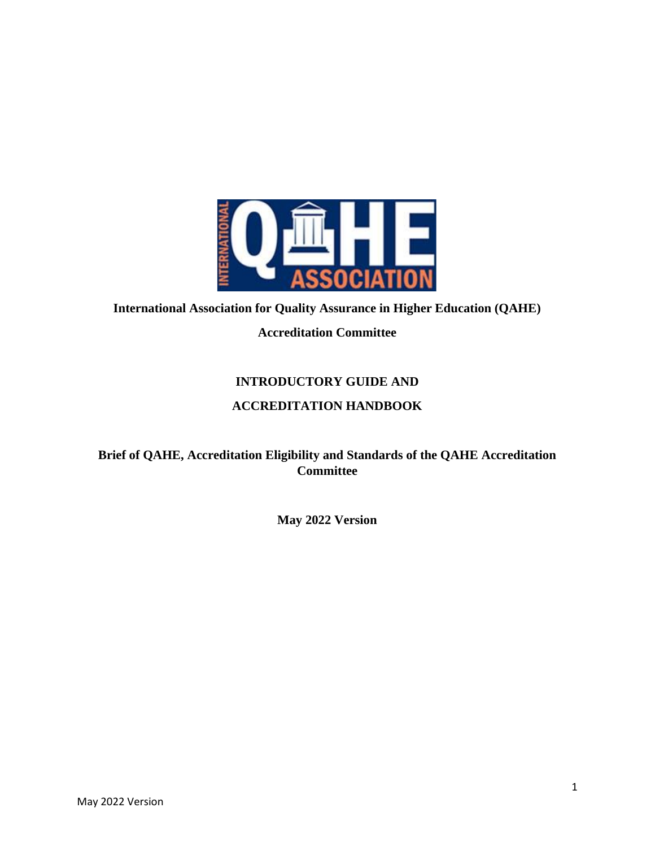

## **International Association for Quality Assurance in Higher Education (QAHE) Accreditation Committee**

## **INTRODUCTORY GUIDE AND ACCREDITATION HANDBOOK**

#### **Brief of QAHE, Accreditation Eligibility and Standards of the QAHE Accreditation Committee**

**May 2022 Version**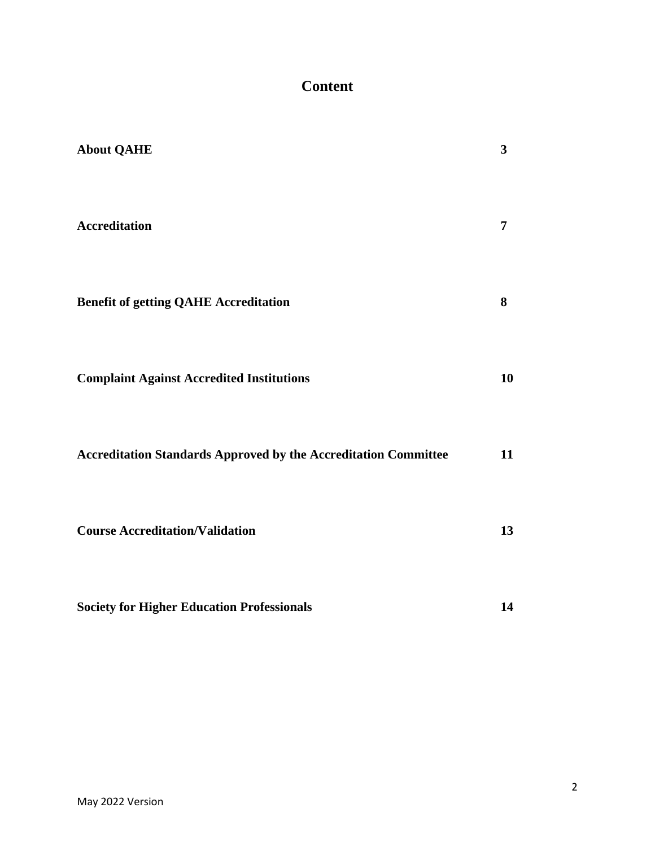## **Content**

| <b>About QAHE</b>                                                      | $\mathbf{3}$   |
|------------------------------------------------------------------------|----------------|
| <b>Accreditation</b>                                                   | $\overline{7}$ |
| <b>Benefit of getting QAHE Accreditation</b>                           | 8              |
| <b>Complaint Against Accredited Institutions</b>                       | 10             |
| <b>Accreditation Standards Approved by the Accreditation Committee</b> | 11             |
| <b>Course Accreditation/Validation</b>                                 | 13             |
| <b>Society for Higher Education Professionals</b>                      | 14             |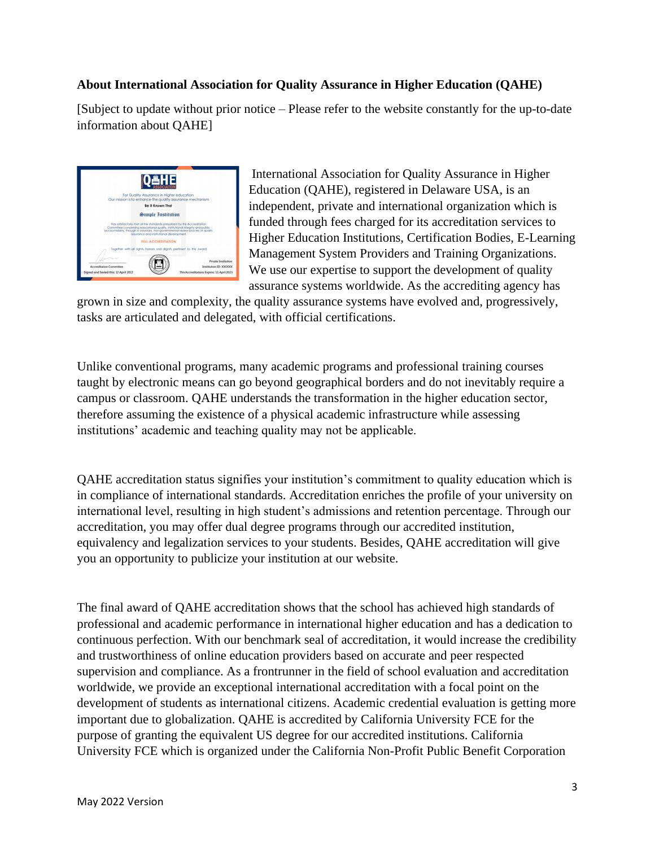#### **About International Association for Quality Assurance in Higher Education (QAHE)**

[Subject to update without prior notice – Please refer to the website constantly for the up-to-date information about QAHE]



International Association for Quality Assurance in Higher Education (QAHE), registered in Delaware USA, is an independent, private and international organization which is funded through fees charged for its accreditation services to Higher Education Institutions, Certification Bodies, E-Learning Management System Providers and Training Organizations. We use our expertise to support the development of quality assurance systems worldwide. As the accrediting agency has

grown in size and complexity, the quality assurance systems have evolved and, progressively, tasks are articulated and delegated, with official certifications.

Unlike conventional programs, many academic programs and professional training courses taught by electronic means can go beyond geographical borders and do not inevitably require a campus or classroom. QAHE understands the transformation in the higher education sector, therefore assuming the existence of a physical academic infrastructure while assessing institutions' academic and teaching quality may not be applicable.

QAHE accreditation status signifies your institution's commitment to quality education which is in compliance of international standards. Accreditation enriches the profile of your university on international level, resulting in high student's admissions and retention percentage. Through our accreditation, you may offer dual degree programs through our accredited institution, equivalency and legalization services to your students. Besides, QAHE accreditation will give you an opportunity to publicize your institution at our website.

The final award of QAHE accreditation shows that the school has achieved high standards of professional and academic performance in international higher education and has a dedication to continuous perfection. With our benchmark seal of accreditation, it would increase the credibility and trustworthiness of online education providers based on accurate and peer respected supervision and compliance. As a frontrunner in the field of school evaluation and accreditation worldwide, we provide an exceptional international accreditation with a focal point on the development of students as international citizens. Academic credential evaluation is getting more important due to globalization. QAHE is accredited by California University FCE for the purpose of granting the equivalent US degree for our accredited institutions. California University FCE which is organized under the California Non-Profit Public Benefit Corporation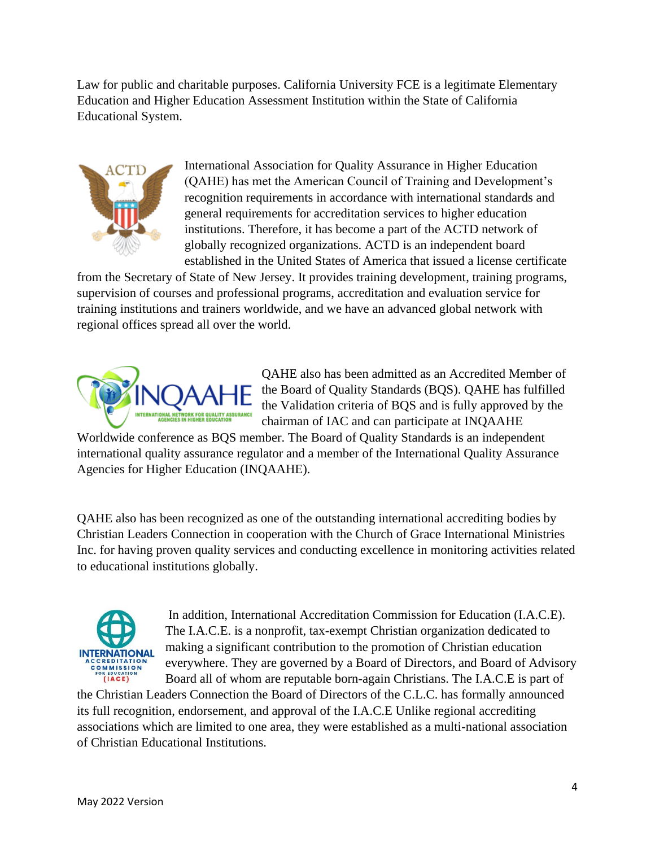Law for public and charitable purposes. California University FCE is a legitimate Elementary Education and Higher Education Assessment Institution within the State of California Educational System.



International Association for Quality Assurance in Higher Education (QAHE) has met the American Council of Training and Development's recognition requirements in accordance with international standards and general requirements for accreditation services to higher education institutions. Therefore, it has become a part of the ACTD network of globally recognized organizations. ACTD is an independent board established in the United States of America that issued a license certificate

from the Secretary of State of New Jersey. It provides training development, training programs, supervision of courses and professional programs, accreditation and evaluation service for training institutions and trainers worldwide, and we have an advanced global network with regional offices spread all over the world.



QAHE also has been admitted as an Accredited Member of the Board of Quality Standards (BQS). QAHE has fulfilled the Validation criteria of BQS and is fully approved by the chairman of IAC and can participate at INQAAHE

Worldwide conference as BQS member. The Board of Quality Standards is an independent international quality assurance regulator and a member of the International Quality Assurance Agencies for Higher Education (INQAAHE).

QAHE also has been recognized as one of the outstanding international accrediting bodies by Christian Leaders Connection in cooperation with the Church of Grace International Ministries Inc. for having proven quality services and conducting excellence in monitoring activities related to educational institutions globally.



In addition, International Accreditation Commission for Education (I.A.C.E). The I.A.C.E. is a nonprofit, tax-exempt Christian organization dedicated to making a significant contribution to the promotion of Christian education everywhere. They are governed by a Board of Directors, and Board of Advisory Board all of whom are reputable born-again Christians. The I.A.C.E is part of

the Christian Leaders Connection the Board of Directors of the C.L.C. has formally announced its full recognition, endorsement, and approval of the I.A.C.E Unlike regional accrediting associations which are limited to one area, they were established as a multi-national association of Christian Educational Institutions.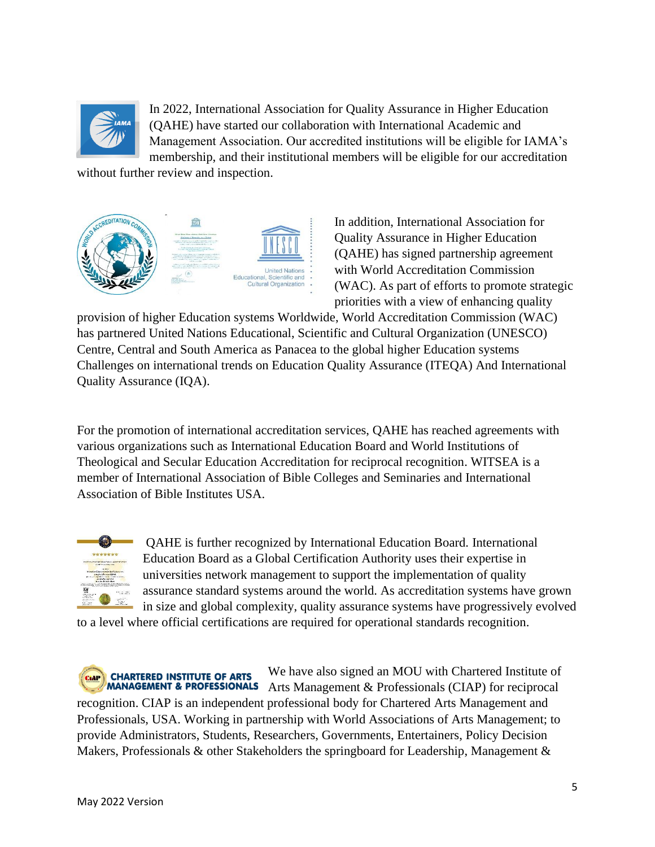

In 2022, International Association for Quality Assurance in Higher Education (QAHE) have started our collaboration with International Academic and Management Association. Our accredited institutions will be eligible for IAMA's membership, and their institutional members will be eligible for our accreditation

without further review and inspection.



In addition, International Association for Quality Assurance in Higher Education (QAHE) has signed partnership agreement with World Accreditation Commission (WAC). As part of efforts to promote strategic priorities with a view of enhancing quality

provision of higher Education systems Worldwide, World Accreditation Commission (WAC) has partnered United Nations Educational, Scientific and Cultural Organization (UNESCO) Centre, Central and South America as Panacea to the global higher Education systems Challenges on international trends on Education Quality Assurance (ITEQA) And International Quality Assurance (IQA).

For the promotion of international accreditation services, QAHE has reached agreements with various organizations such as International Education Board and World Institutions of Theological and Secular Education Accreditation for reciprocal recognition. WITSEA is a member of International Association of Bible Colleges and Seminaries and International Association of Bible Institutes USA.



QAHE is further recognized by International Education Board. International Education Board as a Global Certification Authority uses their expertise in universities network management to support the implementation of quality assurance standard systems around the world. As accreditation systems have grown in size and global complexity, quality assurance systems have progressively evolved

to a level where official certifications are required for operational standards recognition.

We have also signed an MOU with Chartered Institute of **CHARTERED INSTITUTE OF ARTS MANAGEMENT & PROFESSIONALS** Arts Management & Professionals (CIAP) for reciprocal recognition. CIAP is an independent professional body for Chartered Arts Management and Professionals, USA. Working in partnership with World Associations of Arts Management; to provide Administrators, Students, Researchers, Governments, Entertainers, Policy Decision Makers, Professionals & other Stakeholders the springboard for Leadership, Management &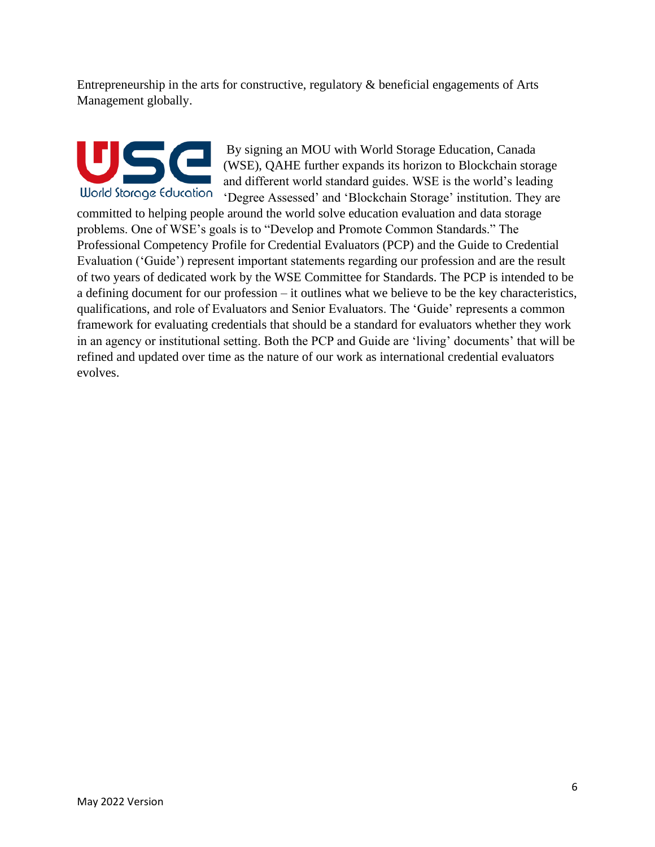Entrepreneurship in the arts for constructive, regulatory & beneficial engagements of Arts Management globally.

# World Storage Education

By signing an MOU with World Storage Education, Canada (WSE), QAHE further expands its horizon to Blockchain storage and different world standard guides. WSE is the world's leading 'Degree Assessed' and 'Blockchain Storage' institution. They are

committed to helping people around the world solve education evaluation and data storage problems. One of WSE's goals is to "Develop and Promote Common Standards." The Professional Competency Profile for Credential Evaluators (PCP) and the Guide to Credential Evaluation ('Guide') represent important statements regarding our profession and are the result of two years of dedicated work by the WSE Committee for Standards. The PCP is intended to be a defining document for our profession – it outlines what we believe to be the key characteristics, qualifications, and role of Evaluators and Senior Evaluators. The 'Guide' represents a common framework for evaluating credentials that should be a standard for evaluators whether they work in an agency or institutional setting. Both the PCP and Guide are 'living' documents' that will be refined and updated over time as the nature of our work as international credential evaluators evolves.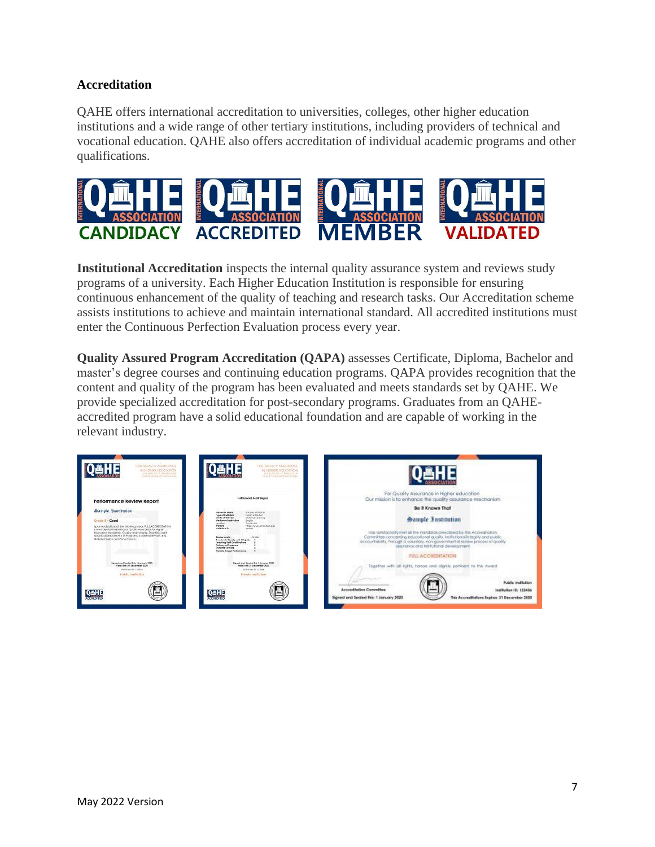#### **Accreditation**

QAHE offers international accreditation to universities, colleges, other higher education institutions and a wide range of other tertiary institutions, including providers of technical and vocational education. QAHE also offers accreditation of individual academic programs and other qualifications.



**Institutional Accreditation** inspects the internal quality assurance system and reviews study programs of a university. Each Higher Education Institution is responsible for ensuring continuous enhancement of the quality of teaching and research tasks. Our Accreditation scheme assists institutions to achieve and maintain international standard. All accredited institutions must enter the Continuous Perfection Evaluation process every year.

**Quality Assured Program Accreditation (QAPA)** assesses Certificate, Diploma, Bachelor and master's degree courses and continuing education programs. QAPA provides recognition that the content and quality of the program has been evaluated and meets standards set by QAHE. We provide specialized accreditation for post-secondary programs. Graduates from an QAHEaccredited program have a solid educational foundation and are capable of working in the relevant industry.

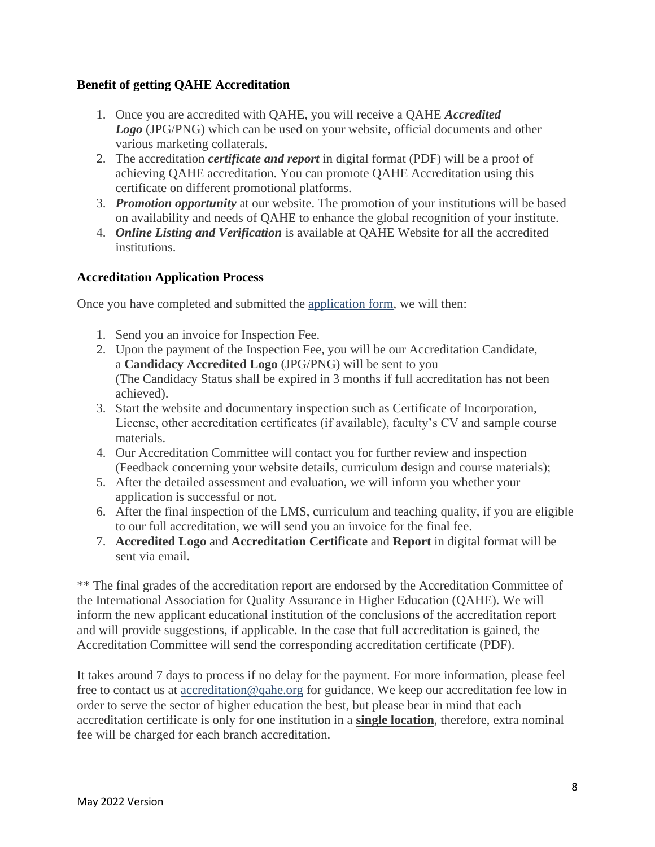#### **Benefit of getting QAHE Accreditation**

- 1. Once you are accredited with QAHE, you will receive a QAHE *Accredited Logo* (JPG/PNG) which can be used on your website, official documents and other various marketing collaterals.
- 2. The accreditation *certificate and report* in digital format (PDF) will be a proof of achieving QAHE accreditation. You can promote QAHE Accreditation using this certificate on different promotional platforms.
- 3. *Promotion opportunity* at our website. The promotion of your institutions will be based on availability and needs of QAHE to enhance the global recognition of your institute.
- 4. *Online Listing and Verification* is available at QAHE Website for all the accredited institutions.

#### **Accreditation Application Process**

Once you have completed and submitted the [application form,](https://www.qahe.org/wp-admin/accreditation-membership-form/) we will then:

- 1. Send you an invoice for Inspection Fee.
- 2. Upon the payment of the Inspection Fee, you will be our Accreditation Candidate, a **Candidacy Accredited Logo** (JPG/PNG) will be sent to you (The Candidacy Status shall be expired in 3 months if full accreditation has not been achieved).
- 3. Start the website and documentary inspection such as Certificate of Incorporation, License, other accreditation certificates (if available), faculty's CV and sample course materials.
- 4. Our Accreditation Committee will contact you for further review and inspection (Feedback concerning your website details, curriculum design and course materials);
- 5. After the detailed assessment and evaluation, we will inform you whether your application is successful or not.
- 6. After the final inspection of the LMS, curriculum and teaching quality, if you are eligible to our full accreditation, we will send you an invoice for the final fee.
- 7. **Accredited Logo** and **Accreditation Certificate** and **Report** in digital format will be sent via email.

\*\* The final grades of the accreditation report are endorsed by the Accreditation Committee of the International Association for Quality Assurance in Higher Education (QAHE). We will inform the new applicant educational institution of the conclusions of the accreditation report and will provide suggestions, if applicable. In the case that full accreditation is gained, the Accreditation Committee will send the corresponding accreditation certificate (PDF).

It takes around 7 days to process if no delay for the payment. For more information, please feel free to contact us at [accreditation@qahe.org](mailto:accreditation@qahe.org) for guidance. We keep our accreditation fee low in order to serve the sector of higher education the best, but please bear in mind that each accreditation certificate is only for one institution in a **single location**, therefore, extra nominal fee will be charged for each branch accreditation.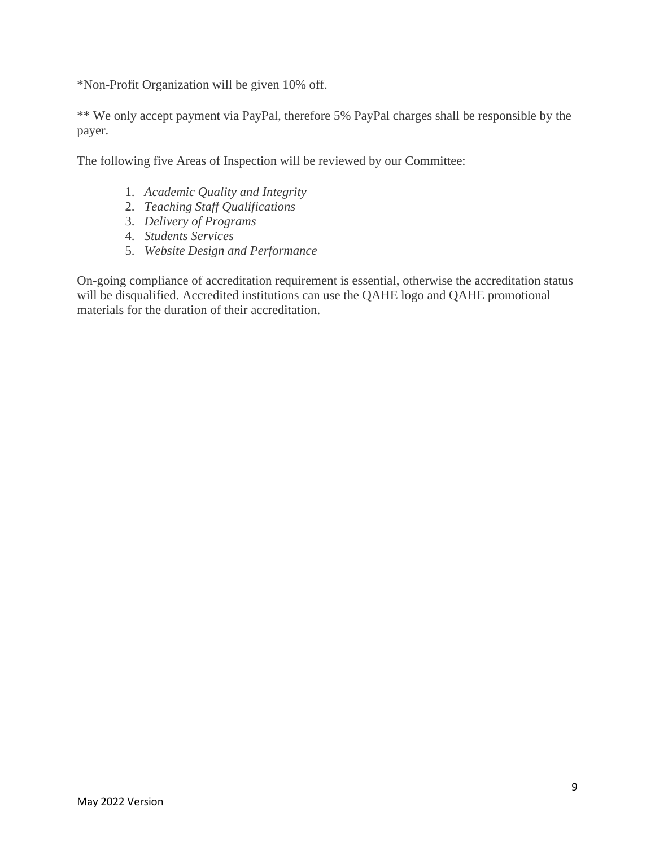\*Non-Profit Organization will be given 10% off.

\*\* We only accept payment via PayPal, therefore 5% PayPal charges shall be responsible by the payer.

The following five Areas of Inspection will be reviewed by our Committee:

- 1. *Academic Quality and Integrity*
- 2. *Teaching Staff Qualifications*
- 3. *Delivery of Programs*
- 4. *Students Services*
- 5. *Website Design and Performance*

On-going compliance of accreditation requirement is essential, otherwise the accreditation status will be disqualified. Accredited institutions can use the QAHE logo and QAHE promotional materials for the duration of their accreditation.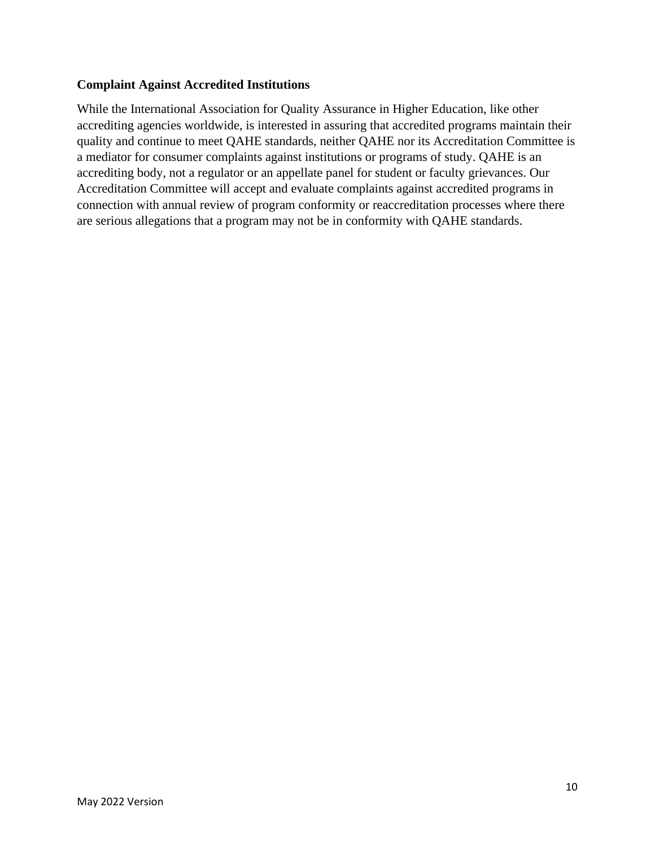#### **Complaint Against Accredited Institutions**

While the International Association for Quality Assurance in Higher Education, like other accrediting agencies worldwide, is interested in assuring that accredited programs maintain their quality and continue to meet QAHE standards, neither QAHE nor its Accreditation Committee is a mediator for consumer complaints against institutions or programs of study. QAHE is an accrediting body, not a regulator or an appellate panel for student or faculty grievances. Our Accreditation Committee will accept and evaluate complaints against accredited programs in connection with annual review of program conformity or reaccreditation processes where there are serious allegations that a program may not be in conformity with QAHE standards.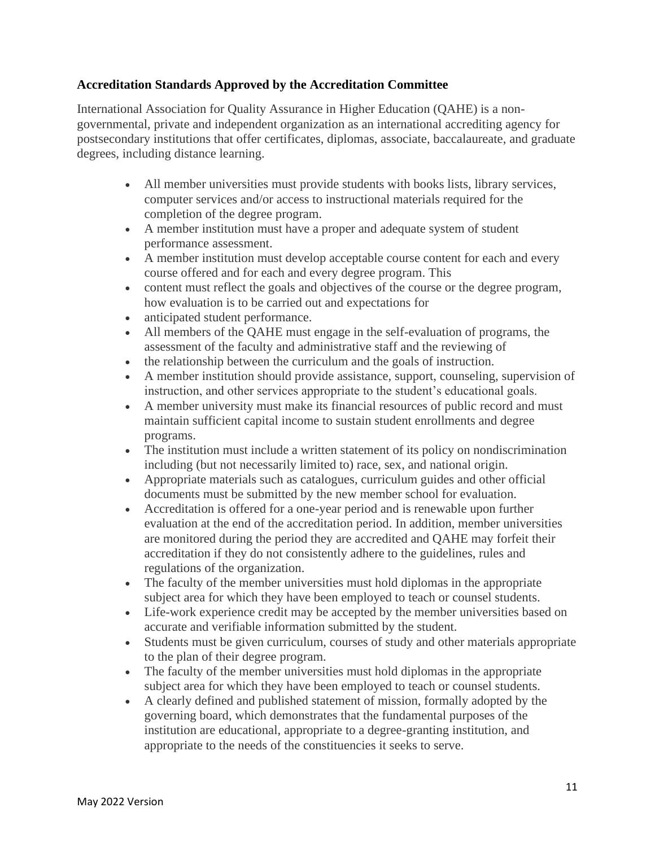#### **Accreditation Standards Approved by the Accreditation Committee**

International Association for Quality Assurance in Higher Education (QAHE) is a nongovernmental, private and independent organization as an international accrediting agency for postsecondary institutions that offer certificates, diplomas, associate, baccalaureate, and graduate degrees, including distance learning.

- All member universities must provide students with books lists, library services, computer services and/or access to instructional materials required for the completion of the degree program.
- A member institution must have a proper and adequate system of student performance assessment.
- A member institution must develop acceptable course content for each and every course offered and for each and every degree program. This
- content must reflect the goals and objectives of the course or the degree program, how evaluation is to be carried out and expectations for
- anticipated student performance.
- All members of the QAHE must engage in the self-evaluation of programs, the assessment of the faculty and administrative staff and the reviewing of
- the relationship between the curriculum and the goals of instruction.
- A member institution should provide assistance, support, counseling, supervision of instruction, and other services appropriate to the student's educational goals.
- A member university must make its financial resources of public record and must maintain sufficient capital income to sustain student enrollments and degree programs.
- The institution must include a written statement of its policy on nondiscrimination including (but not necessarily limited to) race, sex, and national origin.
- Appropriate materials such as catalogues, curriculum guides and other official documents must be submitted by the new member school for evaluation.
- Accreditation is offered for a one-year period and is renewable upon further evaluation at the end of the accreditation period. In addition, member universities are monitored during the period they are accredited and QAHE may forfeit their accreditation if they do not consistently adhere to the guidelines, rules and regulations of the organization.
- The faculty of the member universities must hold diplomas in the appropriate subject area for which they have been employed to teach or counsel students.
- Life-work experience credit may be accepted by the member universities based on accurate and verifiable information submitted by the student.
- Students must be given curriculum, courses of study and other materials appropriate to the plan of their degree program.
- The faculty of the member universities must hold diplomas in the appropriate subject area for which they have been employed to teach or counsel students.
- A clearly defined and published statement of mission, formally adopted by the governing board, which demonstrates that the fundamental purposes of the institution are educational, appropriate to a degree-granting institution, and appropriate to the needs of the constituencies it seeks to serve.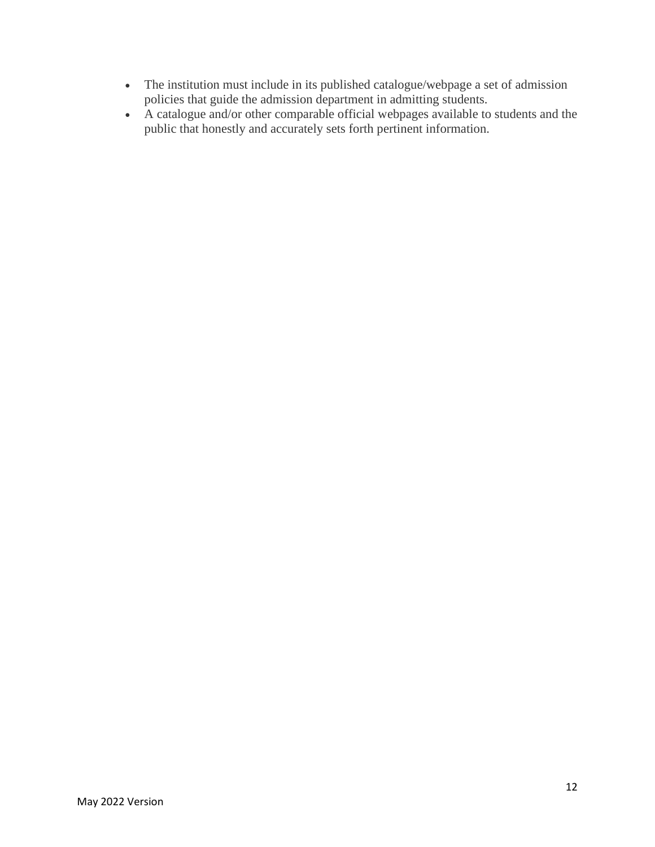- The institution must include in its published catalogue/webpage a set of admission policies that guide the admission department in admitting students.
- A catalogue and/or other comparable official webpages available to students and the public that honestly and accurately sets forth pertinent information.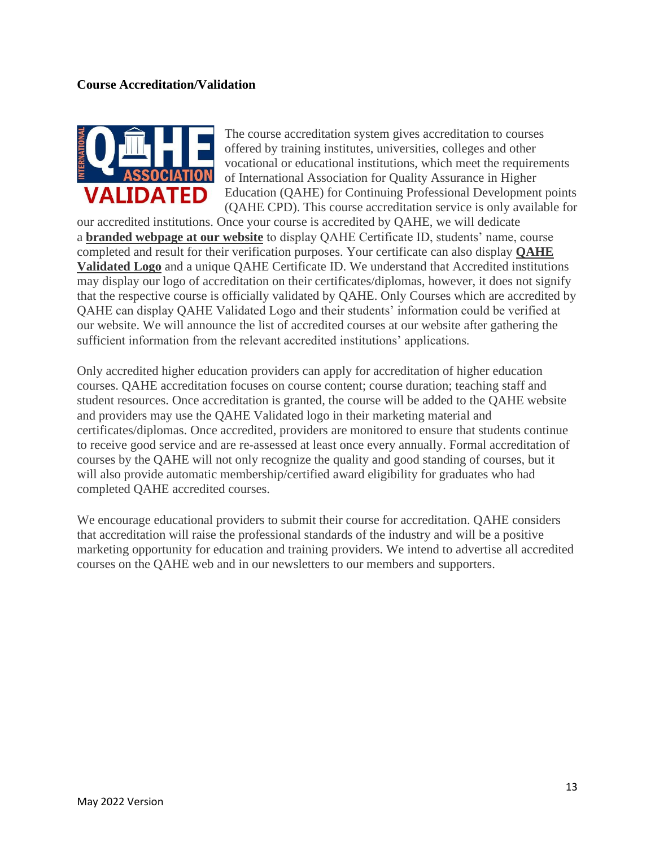#### **Course Accreditation/Validation**



The course accreditation system gives accreditation to courses offered by training institutes, universities, colleges and other vocational or educational institutions, which meet the requirements of International Association for Quality Assurance in Higher Education (QAHE) for Continuing Professional Development points (QAHE CPD). This course accreditation service is only available for

our accredited institutions. Once your course is accredited by QAHE, we will dedicate a **branded webpage at our website** to display QAHE Certificate ID, students' name, course completed and result for their verification purposes. Your certificate can also display **QAHE Validated Logo** and a unique QAHE Certificate ID. We understand that Accredited institutions may display our logo of accreditation on their certificates/diplomas, however, it does not signify that the respective course is officially validated by QAHE. Only Courses which are accredited by QAHE can display QAHE Validated Logo and their students' information could be verified at our website. We will announce the list of accredited courses at our website after gathering the sufficient information from the relevant accredited institutions' applications.

Only accredited higher education providers can apply for accreditation of higher education courses. QAHE accreditation focuses on course content; course duration; teaching staff and student resources. Once accreditation is granted, the course will be added to the QAHE website and providers may use the QAHE Validated logo in their marketing material and certificates/diplomas. Once accredited, providers are monitored to ensure that students continue to receive good service and are re-assessed at least once every annually. Formal accreditation of courses by the QAHE will not only recognize the quality and good standing of courses, but it will also provide automatic membership/certified award eligibility for graduates who had completed QAHE accredited courses.

We encourage educational providers to submit their course for accreditation. QAHE considers that accreditation will raise the professional standards of the industry and will be a positive marketing opportunity for education and training providers. We intend to advertise all accredited courses on the QAHE web and in our newsletters to our members and supporters.